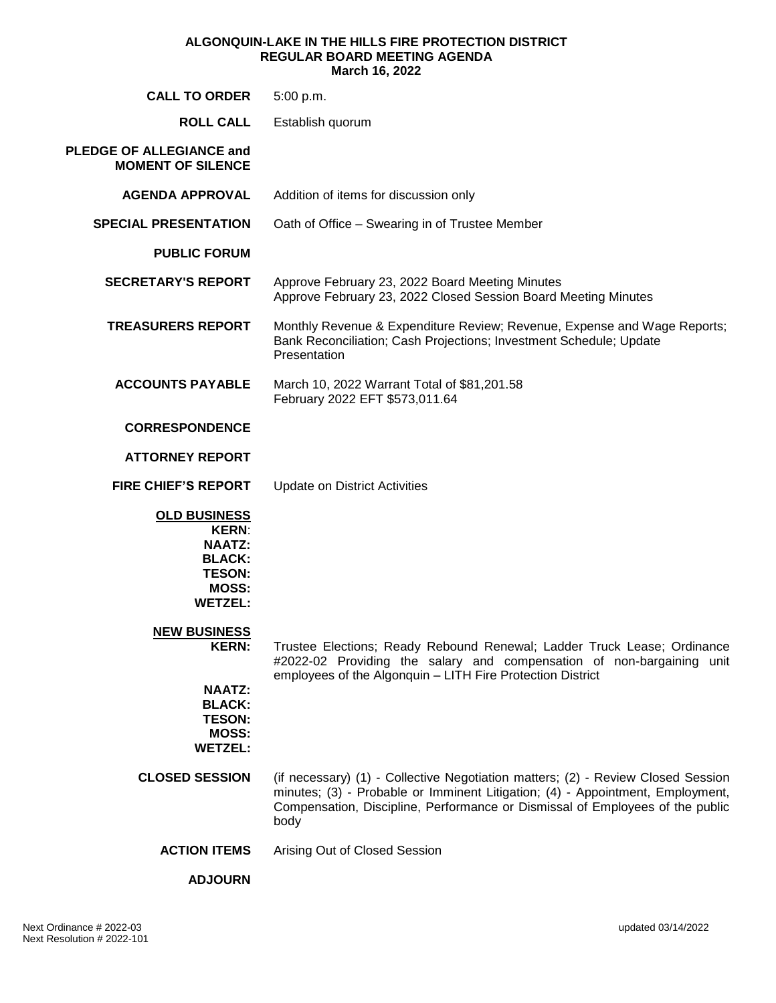#### **ALGONQUIN-LAKE IN THE HILLS FIRE PROTECTION DISTRICT REGULAR BOARD MEETING AGENDA March 16, 2022**

| <b>CALL TO ORDER</b>                                                                                                     | 5:00 p.m.                                                                                                                                                                                                                                                   |
|--------------------------------------------------------------------------------------------------------------------------|-------------------------------------------------------------------------------------------------------------------------------------------------------------------------------------------------------------------------------------------------------------|
| <b>ROLL CALL</b>                                                                                                         | Establish quorum                                                                                                                                                                                                                                            |
| <b>PLEDGE OF ALLEGIANCE and</b><br><b>MOMENT OF SILENCE</b>                                                              |                                                                                                                                                                                                                                                             |
| <b>AGENDA APPROVAL</b>                                                                                                   | Addition of items for discussion only                                                                                                                                                                                                                       |
| <b>SPECIAL PRESENTATION</b>                                                                                              | Oath of Office - Swearing in of Trustee Member                                                                                                                                                                                                              |
| <b>PUBLIC FORUM</b>                                                                                                      |                                                                                                                                                                                                                                                             |
| <b>SECRETARY'S REPORT</b>                                                                                                | Approve February 23, 2022 Board Meeting Minutes<br>Approve February 23, 2022 Closed Session Board Meeting Minutes                                                                                                                                           |
| <b>TREASURERS REPORT</b>                                                                                                 | Monthly Revenue & Expenditure Review; Revenue, Expense and Wage Reports;<br>Bank Reconciliation; Cash Projections; Investment Schedule; Update<br>Presentation                                                                                              |
| <b>ACCOUNTS PAYABLE</b>                                                                                                  | March 10, 2022 Warrant Total of \$81,201.58<br>February 2022 EFT \$573,011.64                                                                                                                                                                               |
| <b>CORRESPONDENCE</b>                                                                                                    |                                                                                                                                                                                                                                                             |
| <b>ATTORNEY REPORT</b>                                                                                                   |                                                                                                                                                                                                                                                             |
| <b>FIRE CHIEF'S REPORT</b>                                                                                               | <b>Update on District Activities</b>                                                                                                                                                                                                                        |
| <b>OLD BUSINESS</b><br><b>KERN:</b><br><b>NAATZ:</b><br><b>BLACK:</b><br><b>TESON:</b><br><b>MOSS:</b><br><b>WETZEL:</b> |                                                                                                                                                                                                                                                             |
| <b>NEW BUSINESS</b><br><b>KERN:</b>                                                                                      | Trustee Elections; Ready Rebound Renewal; Ladder Truck Lease; Ordinance                                                                                                                                                                                     |
| <b>NAATZ:</b><br><b>BLACK:</b><br><b>TESON:</b><br><b>MOSS:</b><br><b>WETZEL:</b>                                        | #2022-02 Providing the salary and compensation of non-bargaining unit<br>employees of the Algonquin - LITH Fire Protection District                                                                                                                         |
| <b>CLOSED SESSION</b>                                                                                                    | (if necessary) (1) - Collective Negotiation matters; (2) - Review Closed Session<br>minutes; (3) - Probable or Imminent Litigation; (4) - Appointment, Employment,<br>Compensation, Discipline, Performance or Dismissal of Employees of the public<br>body |
| <b>ACTION ITEMS</b>                                                                                                      | Arising Out of Closed Session                                                                                                                                                                                                                               |
| <b>ADJOURN</b>                                                                                                           |                                                                                                                                                                                                                                                             |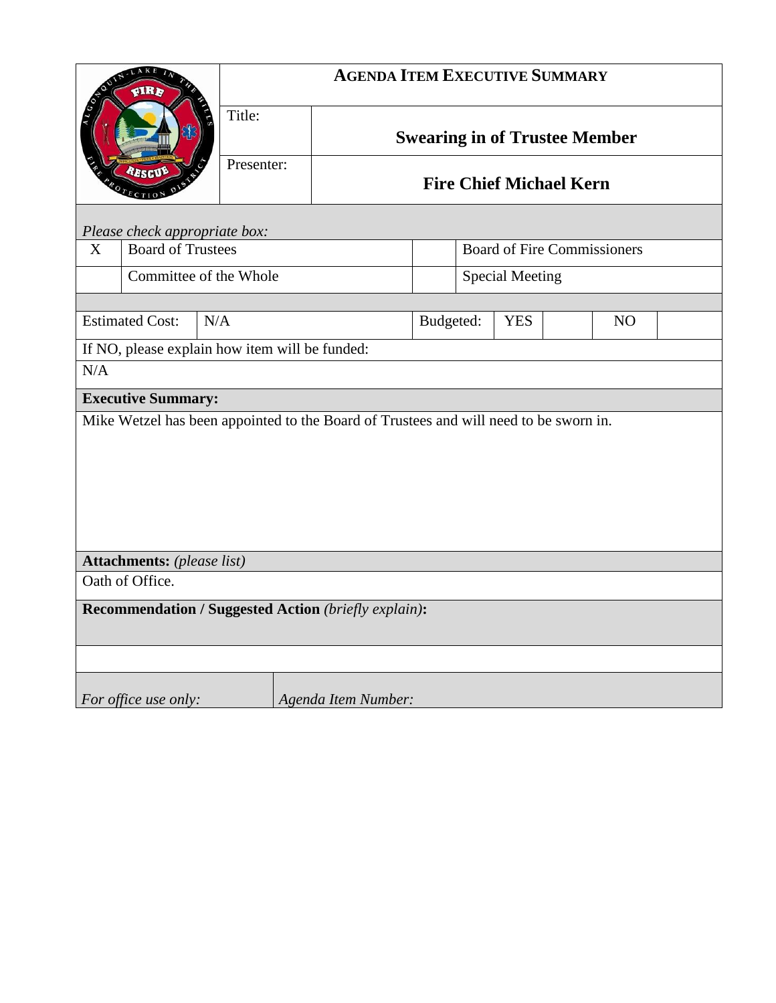| LAKE<br><b>eIR)</b><br>RESCUE<br>$T_{ECTIO}$                                          |                          |                        | <b>AGENDA ITEM EXECUTIVE SUMMARY</b> |                                                                        |                                    |                        |                |  |  |
|---------------------------------------------------------------------------------------|--------------------------|------------------------|--------------------------------------|------------------------------------------------------------------------|------------------------------------|------------------------|----------------|--|--|
|                                                                                       |                          | Title:                 |                                      | <b>Swearing in of Trustee Member</b><br><b>Fire Chief Michael Kern</b> |                                    |                        |                |  |  |
|                                                                                       |                          | Presenter:             |                                      |                                                                        |                                    |                        |                |  |  |
| Please check appropriate box:                                                         |                          |                        |                                      |                                                                        |                                    |                        |                |  |  |
| X                                                                                     | <b>Board of Trustees</b> |                        |                                      |                                                                        | <b>Board of Fire Commissioners</b> |                        |                |  |  |
|                                                                                       |                          | Committee of the Whole |                                      |                                                                        |                                    | <b>Special Meeting</b> |                |  |  |
|                                                                                       |                          |                        |                                      |                                                                        |                                    |                        |                |  |  |
| <b>Estimated Cost:</b><br>N/A                                                         |                          |                        |                                      | Budgeted:<br><b>YES</b>                                                |                                    |                        | N <sub>O</sub> |  |  |
| If NO, please explain how item will be funded:                                        |                          |                        |                                      |                                                                        |                                    |                        |                |  |  |
| N/A                                                                                   |                          |                        |                                      |                                                                        |                                    |                        |                |  |  |
| <b>Executive Summary:</b>                                                             |                          |                        |                                      |                                                                        |                                    |                        |                |  |  |
| Mike Wetzel has been appointed to the Board of Trustees and will need to be sworn in. |                          |                        |                                      |                                                                        |                                    |                        |                |  |  |
|                                                                                       |                          |                        |                                      |                                                                        |                                    |                        |                |  |  |
|                                                                                       |                          |                        |                                      |                                                                        |                                    |                        |                |  |  |
|                                                                                       |                          |                        |                                      |                                                                        |                                    |                        |                |  |  |
|                                                                                       |                          |                        |                                      |                                                                        |                                    |                        |                |  |  |
| <b>Attachments:</b> (please list)                                                     |                          |                        |                                      |                                                                        |                                    |                        |                |  |  |
| Oath of Office.                                                                       |                          |                        |                                      |                                                                        |                                    |                        |                |  |  |
| <b>Recommendation / Suggested Action (briefly explain):</b>                           |                          |                        |                                      |                                                                        |                                    |                        |                |  |  |
|                                                                                       |                          |                        |                                      |                                                                        |                                    |                        |                |  |  |
|                                                                                       | For office use only:     |                        | Agenda Item Number:                  |                                                                        |                                    |                        |                |  |  |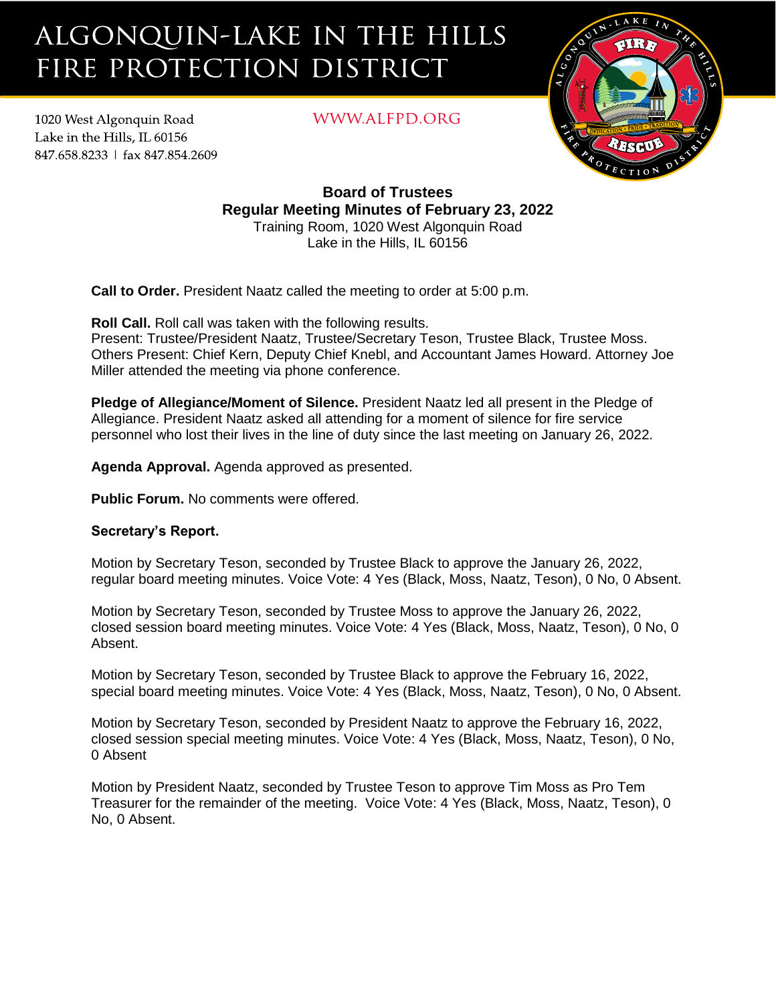# ALGONQUIN-LAKE IN THE HILLS FIRE PROTECTION DISTRICT

1020 West Algonquin Road Lake in the Hills. IL 60156 847.658.8233 | fax 847.854.2609 WWW.ALFPD.ORG



**Board of Trustees Regular Meeting Minutes of February 23, 2022** Training Room, 1020 West Algonquin Road Lake in the Hills, IL 60156

**Call to Order.** President Naatz called the meeting to order at 5:00 p.m.

**Roll Call.** Roll call was taken with the following results.

Present: Trustee/President Naatz, Trustee/Secretary Teson, Trustee Black, Trustee Moss. Others Present: Chief Kern, Deputy Chief Knebl, and Accountant James Howard. Attorney Joe Miller attended the meeting via phone conference.

**Pledge of Allegiance/Moment of Silence.** President Naatz led all present in the Pledge of Allegiance. President Naatz asked all attending for a moment of silence for fire service personnel who lost their lives in the line of duty since the last meeting on January 26, 2022.

**Agenda Approval.** Agenda approved as presented.

**Public Forum.** No comments were offered.

# **Secretary's Report.**

Motion by Secretary Teson, seconded by Trustee Black to approve the January 26, 2022, regular board meeting minutes. Voice Vote: 4 Yes (Black, Moss, Naatz, Teson), 0 No, 0 Absent.

Motion by Secretary Teson, seconded by Trustee Moss to approve the January 26, 2022, closed session board meeting minutes. Voice Vote: 4 Yes (Black, Moss, Naatz, Teson), 0 No, 0 Absent.

Motion by Secretary Teson, seconded by Trustee Black to approve the February 16, 2022, special board meeting minutes. Voice Vote: 4 Yes (Black, Moss, Naatz, Teson), 0 No, 0 Absent.

Motion by Secretary Teson, seconded by President Naatz to approve the February 16, 2022, closed session special meeting minutes. Voice Vote: 4 Yes (Black, Moss, Naatz, Teson), 0 No, 0 Absent

Motion by President Naatz, seconded by Trustee Teson to approve Tim Moss as Pro Tem Treasurer for the remainder of the meeting. Voice Vote: 4 Yes (Black, Moss, Naatz, Teson), 0 No, 0 Absent.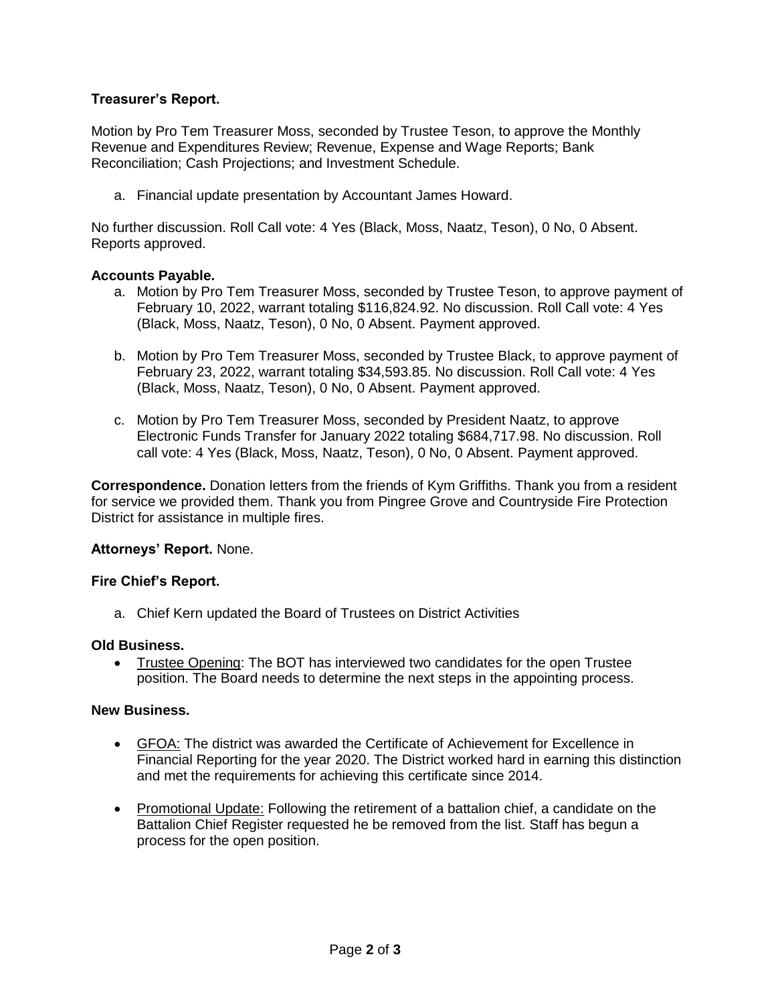# **Treasurer's Report.**

Motion by Pro Tem Treasurer Moss, seconded by Trustee Teson, to approve the Monthly Revenue and Expenditures Review; Revenue, Expense and Wage Reports; Bank Reconciliation; Cash Projections; and Investment Schedule.

a. Financial update presentation by Accountant James Howard.

No further discussion. Roll Call vote: 4 Yes (Black, Moss, Naatz, Teson), 0 No, 0 Absent. Reports approved.

## **Accounts Payable.**

- a. Motion by Pro Tem Treasurer Moss, seconded by Trustee Teson, to approve payment of February 10, 2022, warrant totaling \$116,824.92. No discussion. Roll Call vote: 4 Yes (Black, Moss, Naatz, Teson), 0 No, 0 Absent. Payment approved.
- b. Motion by Pro Tem Treasurer Moss, seconded by Trustee Black, to approve payment of February 23, 2022, warrant totaling \$34,593.85. No discussion. Roll Call vote: 4 Yes (Black, Moss, Naatz, Teson), 0 No, 0 Absent. Payment approved.
- c. Motion by Pro Tem Treasurer Moss, seconded by President Naatz, to approve Electronic Funds Transfer for January 2022 totaling \$684,717.98. No discussion. Roll call vote: 4 Yes (Black, Moss, Naatz, Teson), 0 No, 0 Absent. Payment approved.

**Correspondence.** Donation letters from the friends of Kym Griffiths. Thank you from a resident for service we provided them. Thank you from Pingree Grove and Countryside Fire Protection District for assistance in multiple fires.

### **Attorneys' Report.** None.

### **Fire Chief's Report.**

a. Chief Kern updated the Board of Trustees on District Activities

### **Old Business.**

• Trustee Opening: The BOT has interviewed two candidates for the open Trustee position. The Board needs to determine the next steps in the appointing process.

# **New Business.**

- GFOA: The district was awarded the Certificate of Achievement for Excellence in Financial Reporting for the year 2020. The District worked hard in earning this distinction and met the requirements for achieving this certificate since 2014.
- Promotional Update: Following the retirement of a battalion chief, a candidate on the Battalion Chief Register requested he be removed from the list. Staff has begun a process for the open position.